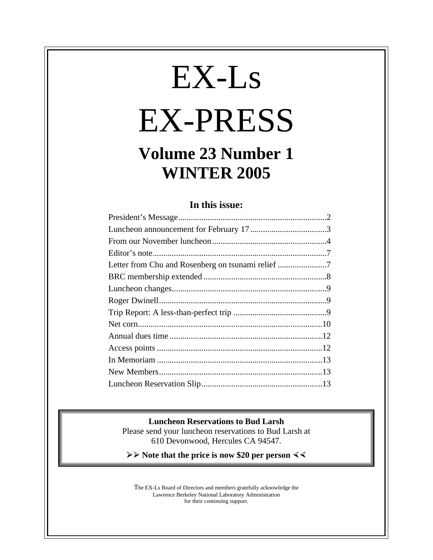# EX-Ls EX-PRESS

# **Volume 23 Number 1 WINTER 2005**

## **In this issue:**

#### **Luncheon Reservations to Bud Larsh**

Please send your luncheon reservations to Bud Larsh at 610 Devonwood, Hercules CA 94547.

**≽** ≻ Note that the price is now \$20 per person  $\leq$ 

The EX-Ls Board of Directors and members gratefully acknowledge the Lawrence Berkeley National Laboratory Administration for their continuing support.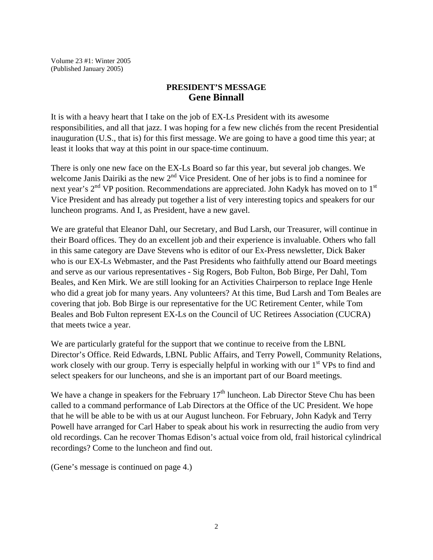Volume 23 #1: Winter 2005 (Published January 2005)

#### **PRESIDENT'S MESSAGE Gene Binnall**

It is with a heavy heart that I take on the job of EX-Ls President with its awesome responsibilities, and all that jazz. I was hoping for a few new clichés from the recent Presidential inauguration (U.S., that is) for this first message. We are going to have a good time this year; at least it looks that way at this point in our space-time continuum.

There is only one new face on the EX-Ls Board so far this year, but several job changes. We welcome Janis Dairiki as the new  $2<sup>nd</sup>$  Vice President. One of her jobs is to find a nominee for next year's 2<sup>nd</sup> VP position. Recommendations are appreciated. John Kadyk has moved on to 1<sup>st</sup> Vice President and has already put together a list of very interesting topics and speakers for our luncheon programs. And I, as President, have a new gavel.

We are grateful that Eleanor Dahl, our Secretary, and Bud Larsh, our Treasurer, will continue in their Board offices. They do an excellent job and their experience is invaluable. Others who fall in this same category are Dave Stevens who is editor of our Ex-Press newsletter, Dick Baker who is our EX-Ls Webmaster, and the Past Presidents who faithfully attend our Board meetings and serve as our various representatives - Sig Rogers, Bob Fulton, Bob Birge, Per Dahl, Tom Beales, and Ken Mirk. We are still looking for an Activities Chairperson to replace Inge Henle who did a great job for many years. Any volunteers? At this time, Bud Larsh and Tom Beales are covering that job. Bob Birge is our representative for the UC Retirement Center, while Tom Beales and Bob Fulton represent EX-Ls on the Council of UC Retirees Association (CUCRA) that meets twice a year.

We are particularly grateful for the support that we continue to receive from the LBNL Director's Office. Reid Edwards, LBNL Public Affairs, and Terry Powell, Community Relations, work closely with our group. Terry is especially helpful in working with our 1<sup>st</sup> VPs to find and select speakers for our luncheons, and she is an important part of our Board meetings.

We have a change in speakers for the February  $17<sup>th</sup>$  luncheon. Lab Director Steve Chu has been called to a command performance of Lab Directors at the Office of the UC President. We hope that he will be able to be with us at our August luncheon. For February, John Kadyk and Terry Powell have arranged for Carl Haber to speak about his work in resurrecting the audio from very old recordings. Can he recover Thomas Edison's actual voice from old, frail historical cylindrical recordings? Come to the luncheon and find out.

(Gene's message is continued on page 4.)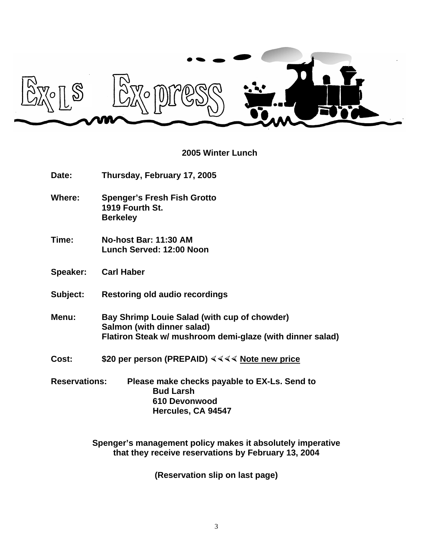

# **2005 Winter Lunch**

| Date:                | Thursday, February 17, 2005                                                                                                             |  |
|----------------------|-----------------------------------------------------------------------------------------------------------------------------------------|--|
| Where:               | <b>Spenger's Fresh Fish Grotto</b><br>1919 Fourth St.<br><b>Berkeley</b>                                                                |  |
| Time:                | <b>No-host Bar: 11:30 AM</b><br>Lunch Served: 12:00 Noon                                                                                |  |
| Speaker:             | <b>Carl Haber</b>                                                                                                                       |  |
| Subject:             | <b>Restoring old audio recordings</b>                                                                                                   |  |
| Menu:                | Bay Shrimp Louie Salad (with cup of chowder)<br>Salmon (with dinner salad)<br>Flatiron Steak w/ mushroom demi-glaze (with dinner salad) |  |
| Cost:                | \$20 per person (PREPAID) $444$ Note new price                                                                                          |  |
| <b>Reservations:</b> | Please make checks payable to EX-Ls. Send to<br><b>Bud Larsh</b><br>610 Devonwood<br>Hercules, CA 94547                                 |  |

**Spenger's management policy makes it absolutely imperative that they receive reservations by February 13, 2004**

**(Reservation slip on last page)**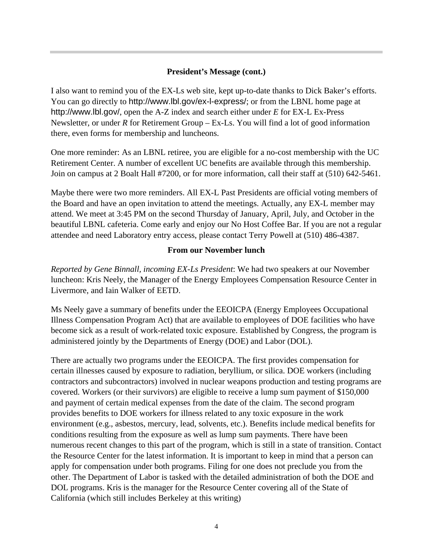#### **President's Message (cont.)**

I also want to remind you of the EX-Ls web site, kept up-to-date thanks to Dick Baker's efforts. You can go directly to http://www.lbl.gov/ex-l-express/; or from the LBNL home page at http://www.lbl.gov/, open the A-Z index and search either under *E* for EX-L Ex-Press Newsletter, or under *R* for Retirement Group – Ex-Ls. You will find a lot of good information there, even forms for membership and luncheons.

One more reminder: As an LBNL retiree, you are eligible for a no-cost membership with the UC Retirement Center. A number of excellent UC benefits are available through this membership. Join on campus at 2 Boalt Hall #7200, or for more information, call their staff at (510) 642-5461.

Maybe there were two more reminders. All EX-L Past Presidents are official voting members of the Board and have an open invitation to attend the meetings. Actually, any EX-L member may attend. We meet at 3:45 PM on the second Thursday of January, April, July, and October in the beautiful LBNL cafeteria. Come early and enjoy our No Host Coffee Bar. If you are not a regular attendee and need Laboratory entry access, please contact Terry Powell at (510) 486-4387.

#### **From our November lunch**

*Reported by Gene Binnall, incoming EX-Ls President*: We had two speakers at our November luncheon: Kris Neely, the Manager of the Energy Employees Compensation Resource Center in Livermore, and Iain Walker of EETD.

Ms Neely gave a summary of benefits under the EEOICPA (Energy Employees Occupational Illness Compensation Program Act) that are available to employees of DOE facilities who have become sick as a result of work-related toxic exposure. Established by Congress, the program is administered jointly by the Departments of Energy (DOE) and Labor (DOL).

There are actually two programs under the EEOICPA. The first provides compensation for certain illnesses caused by exposure to radiation, beryllium, or silica. DOE workers (including contractors and subcontractors) involved in nuclear weapons production and testing programs are covered. Workers (or their survivors) are eligible to receive a lump sum payment of \$150,000 and payment of certain medical expenses from the date of the claim. The second program provides benefits to DOE workers for illness related to any toxic exposure in the work environment (e.g., asbestos, mercury, lead, solvents, etc.). Benefits include medical benefits for conditions resulting from the exposure as well as lump sum payments. There have been numerous recent changes to this part of the program, which is still in a state of transition. Contact the Resource Center for the latest information. It is important to keep in mind that a person can apply for compensation under both programs. Filing for one does not preclude you from the other. The Department of Labor is tasked with the detailed administration of both the DOE and DOL programs. Kris is the manager for the Resource Center covering all of the State of California (which still includes Berkeley at this writing)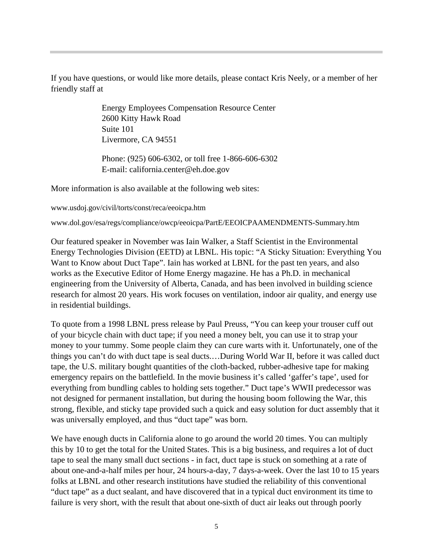If you have questions, or would like more details, please contact Kris Neely, or a member of her friendly staff at

> Energy Employees Compensation Resource Center 2600 Kitty Hawk Road Suite 101 Livermore, CA 94551

Phone: (925) 606-6302, or toll free 1-866-606-6302 E-mail: california.center@eh.doe.gov

More information is also available at the following web sites:

www.usdoj.gov/civil/torts/const/reca/eeoicpa.htm

www.dol.gov/esa/regs/compliance/owcp/eeoicpa/PartE/EEOICPAAMENDMENTS-Summary.htm

Our featured speaker in November was Iain Walker, a Staff Scientist in the Environmental Energy Technologies Division (EETD) at LBNL. His topic: "A Sticky Situation: Everything You Want to Know about Duct Tape". Iain has worked at LBNL for the past ten years, and also works as the Executive Editor of Home Energy magazine. He has a Ph.D. in mechanical engineering from the University of Alberta, Canada, and has been involved in building science research for almost 20 years. His work focuses on ventilation, indoor air quality, and energy use in residential buildings.

To quote from a 1998 LBNL press release by Paul Preuss, "You can keep your trouser cuff out of your bicycle chain with duct tape; if you need a money belt, you can use it to strap your money to your tummy. Some people claim they can cure warts with it. Unfortunately, one of the things you can't do with duct tape is seal ducts.…During World War II, before it was called duct tape, the U.S. military bought quantities of the cloth-backed, rubber-adhesive tape for making emergency repairs on the battlefield. In the movie business it's called 'gaffer's tape', used for everything from bundling cables to holding sets together." Duct tape's WWII predecessor was not designed for permanent installation, but during the housing boom following the War, this strong, flexible, and sticky tape provided such a quick and easy solution for duct assembly that it was universally employed, and thus "duct tape" was born.

We have enough ducts in California alone to go around the world 20 times. You can multiply this by 10 to get the total for the United States. This is a big business, and requires a lot of duct tape to seal the many small duct sections - in fact, duct tape is stuck on something at a rate of about one-and-a-half miles per hour, 24 hours-a-day, 7 days-a-week. Over the last 10 to 15 years folks at LBNL and other research institutions have studied the reliability of this conventional "duct tape" as a duct sealant, and have discovered that in a typical duct environment its time to failure is very short, with the result that about one-sixth of duct air leaks out through poorly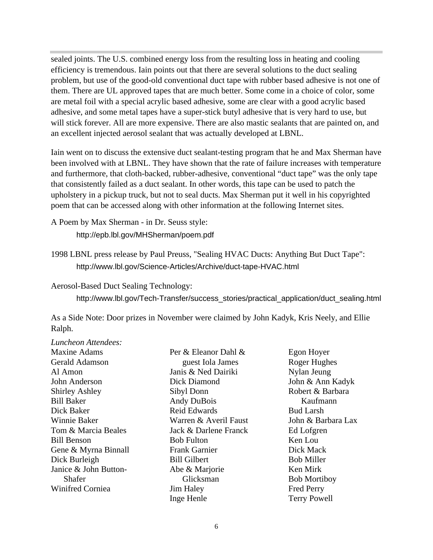sealed joints. The U.S. combined energy loss from the resulting loss in heating and cooling efficiency is tremendous. Iain points out that there are several solutions to the duct sealing problem, but use of the good-old conventional duct tape with rubber based adhesive is not one of them. There are UL approved tapes that are much better. Some come in a choice of color, some are metal foil with a special acrylic based adhesive, some are clear with a good acrylic based adhesive, and some metal tapes have a super-stick butyl adhesive that is very hard to use, but will stick forever. All are more expensive. There are also mastic sealants that are painted on, and an excellent injected aerosol sealant that was actually developed at LBNL.

Iain went on to discuss the extensive duct sealant-testing program that he and Max Sherman have been involved with at LBNL. They have shown that the rate of failure increases with temperature and furthermore, that cloth-backed, rubber-adhesive, conventional "duct tape" was the only tape that consistently failed as a duct sealant. In other words, this tape can be used to patch the upholstery in a pickup truck, but not to seal ducts. Max Sherman put it well in his copyrighted poem that can be accessed along with other information at the following Internet sites.

A Poem by Max Sherman - in Dr. Seuss style:

http://epb.lbl.gov/MHSherman/poem.pdf

1998 LBNL press release by Paul Preuss, "Sealing HVAC Ducts: Anything But Duct Tape": http://www.lbl.gov/Science-Articles/Archive/duct-tape-HVAC.html

Aerosol-Based Duct Sealing Technology:

http://www.lbl.gov/Tech-Transfer/success\_stories/practical\_application/duct\_sealing.html

As a Side Note: Door prizes in November were claimed by John Kadyk, Kris Neely, and Ellie Ralph.

| Luncheon Attendees:   |                       |                     |
|-----------------------|-----------------------|---------------------|
| <b>Maxine Adams</b>   | Per & Eleanor Dahl &  | Egon Hoyer          |
| <b>Gerald Adamson</b> | guest Iola James      | Roger Hughes        |
| Al Amon               | Janis & Ned Dairiki   | Nylan Jeung         |
| John Anderson         | Dick Diamond          | John & Ann Kadyk    |
| <b>Shirley Ashley</b> | Sibyl Donn            | Robert & Barbara    |
| <b>Bill Baker</b>     | <b>Andy DuBois</b>    | Kaufmann            |
| Dick Baker            | <b>Reid Edwards</b>   | <b>Bud Larsh</b>    |
| <b>Winnie Baker</b>   | Warren & Averil Faust | John & Barbara Lax  |
| Tom & Marcia Beales   | Jack & Darlene Franck | Ed Lofgren          |
| <b>Bill Benson</b>    | <b>Bob Fulton</b>     | Ken Lou             |
| Gene & Myrna Binnall  | Frank Garnier         | Dick Mack           |
| Dick Burleigh         | <b>Bill Gilbert</b>   | <b>Bob Miller</b>   |
| Janice & John Button- | Abe & Marjorie        | Ken Mirk            |
| Shafer                | Glicksman             | <b>Bob Mortiboy</b> |
| Winifred Corniea      | <b>Jim Haley</b>      | <b>Fred Perry</b>   |
|                       | Inge Henle            | <b>Terry Powell</b> |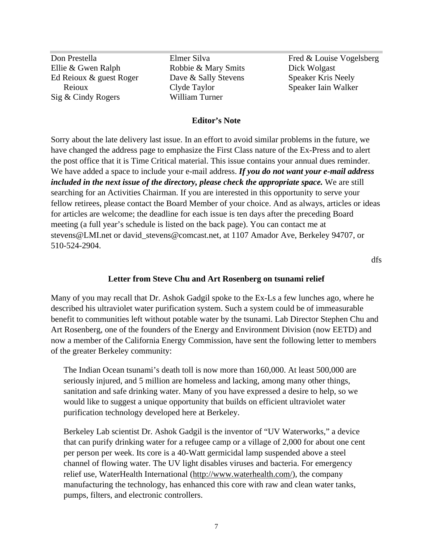Don Prestella Ellie & Gwen Ralph Ed Reioux & guest Roger Reioux Sig & Cindy Rogers

Elmer Silva Robbie & Mary Smits Dave & Sally Stevens Clyde Taylor William Turner

Fred & Louise Vogelsberg Dick Wolgast Speaker Kris Neely Speaker Iain Walker

#### **Editor's Note**

Sorry about the late delivery last issue. In an effort to avoid similar problems in the future, we have changed the address page to emphasize the First Class nature of the Ex-Press and to alert the post office that it is Time Critical material. This issue contains your annual dues reminder. We have added a space to include your e-mail address. *If you do not want your e-mail address included in the next issue of the directory, please check the appropriate space.* We are still searching for an Activities Chairman. If you are interested in this opportunity to serve your fellow retirees, please contact the Board Member of your choice. And as always, articles or ideas for articles are welcome; the deadline for each issue is ten days after the preceding Board meeting (a full year's schedule is listed on the back page). You can contact me at stevens@LMI.net or david\_stevens@comcast.net, at 1107 Amador Ave, Berkeley 94707, or 510-524-2904.

dfs

#### **Letter from Steve Chu and Art Rosenberg on tsunami relief**

Many of you may recall that Dr. Ashok Gadgil spoke to the Ex-Ls a few lunches ago, where he described his ultraviolet water purification system. Such a system could be of immeasurable benefit to communities left without potable water by the tsunami. Lab Director Stephen Chu and Art Rosenberg, one of the founders of the Energy and Environment Division (now EETD) and now a member of the California Energy Commission, have sent the following letter to members of the greater Berkeley community:

The Indian Ocean tsunami's death toll is now more than 160,000. At least 500,000 are seriously injured, and 5 million are homeless and lacking, among many other things, sanitation and safe drinking water. Many of you have expressed a desire to help, so we would like to suggest a unique opportunity that builds on efficient ultraviolet water purification technology developed here at Berkeley.

Berkeley Lab scientist Dr. Ashok Gadgil is the inventor of "UV Waterworks," a device that can purify drinking water for a refugee camp or a village of 2,000 for about one cent per person per week. Its core is a 40-Watt germicidal lamp suspended above a steel channel of flowing water. The UV light disables viruses and bacteria. For emergency relief use, WaterHealth International (http://www.waterhealth.com/), the company manufacturing the technology, has enhanced this core with raw and clean water tanks, pumps, filters, and electronic controllers.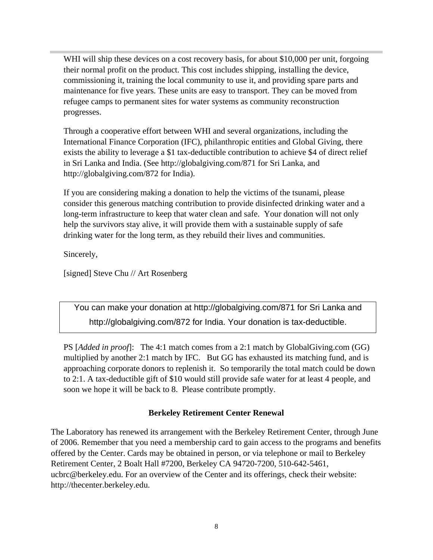WHI will ship these devices on a cost recovery basis, for about \$10,000 per unit, forgoing their normal profit on the product. This cost includes shipping, installing the device, commissioning it, training the local community to use it, and providing spare parts and maintenance for five years. These units are easy to transport. They can be moved from refugee camps to permanent sites for water systems as community reconstruction progresses.

Through a cooperative effort between WHI and several organizations, including the International Finance Corporation (IFC), philanthropic entities and Global Giving, there exists the ability to leverage a \$1 tax-deductible contribution to achieve \$4 of direct relief in Sri Lanka and India. (See http://globalgiving.com/871 for Sri Lanka, and http://globalgiving.com/872 for India).

If you are considering making a donation to help the victims of the tsunami, please consider this generous matching contribution to provide disinfected drinking water and a long-term infrastructure to keep that water clean and safe. Your donation will not only help the survivors stay alive, it will provide them with a sustainable supply of safe drinking water for the long term, as they rebuild their lives and communities.

Sincerely,

[signed] Steve Chu // Art Rosenberg

You can make your donation at http://globalgiving.com/871 for Sri Lanka and http://globalgiving.com/872 for India. Your donation is tax-deductible.

PS [*Added in proof*]: The 4:1 match comes from a 2:1 match by GlobalGiving.com (GG) multiplied by another 2:1 match by IFC. But GG has exhausted its matching fund, and is approaching corporate donors to replenish it. So temporarily the total match could be down to 2:1. A tax-deductible gift of \$10 would still provide safe water for at least 4 people, and soon we hope it will be back to 8. Please contribute promptly.

### **Berkeley Retirement Center Renewal**

The Laboratory has renewed its arrangement with the Berkeley Retirement Center, through June of 2006. Remember that you need a membership card to gain access to the programs and benefits offered by the Center. Cards may be obtained in person, or via telephone or mail to Berkeley Retirement Center, 2 Boalt Hall #7200, Berkeley CA 94720-7200, 510-642-5461, ucbrc@berkeley.edu. For an overview of the Center and its offerings, check their website: http://thecenter.berkeley.edu.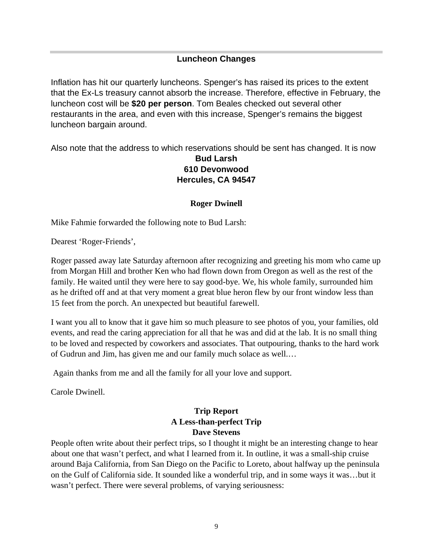#### **Luncheon Changes**

Inflation has hit our quarterly luncheons. Spenger's has raised its prices to the extent that the Ex-Ls treasury cannot absorb the increase. Therefore, effective in February, the luncheon cost will be **\$20 per person**. Tom Beales checked out several other restaurants in the area, and even with this increase, Spenger's remains the biggest luncheon bargain around.

Also note that the address to which reservations should be sent has changed. It is now

#### **Bud Larsh 610 Devonwood Hercules, CA 94547**

#### **Roger Dwinell**

Mike Fahmie forwarded the following note to Bud Larsh:

Dearest 'Roger-Friends',

Roger passed away late Saturday afternoon after recognizing and greeting his mom who came up from Morgan Hill and brother Ken who had flown down from Oregon as well as the rest of the family. He waited until they were here to say good-bye. We, his whole family, surrounded him as he drifted off and at that very moment a great blue heron flew by our front window less than 15 feet from the porch. An unexpected but beautiful farewell.

I want you all to know that it gave him so much pleasure to see photos of you, your families, old events, and read the caring appreciation for all that he was and did at the lab. It is no small thing to be loved and respected by coworkers and associates. That outpouring, thanks to the hard work of Gudrun and Jim, has given me and our family much solace as well.…

Again thanks from me and all the family for all your love and support.

Carole Dwinell.

## **Trip Report A Less-than-perfect Trip Dave Stevens**

People often write about their perfect trips, so I thought it might be an interesting change to hear about one that wasn't perfect, and what I learned from it. In outline, it was a small-ship cruise around Baja California, from San Diego on the Pacific to Loreto, about halfway up the peninsula on the Gulf of California side. It sounded like a wonderful trip, and in some ways it was…but it wasn't perfect. There were several problems, of varying seriousness: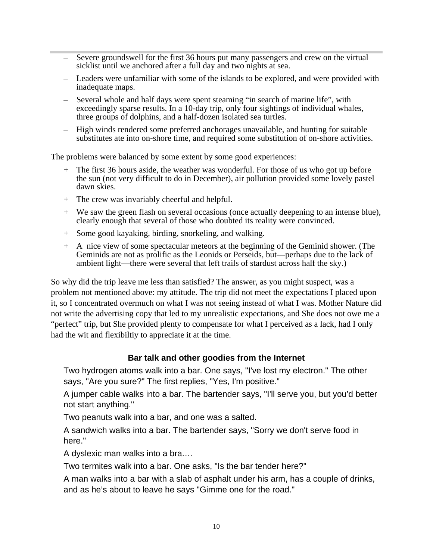- Severe groundswell for the first 36 hours put many passengers and crew on the virtual sicklist until we anchored after a full day and two nights at sea.
- Leaders were unfamiliar with some of the islands to be explored, and were provided with inadequate maps.
- Several whole and half days were spent steaming "in search of marine life", with exceedingly sparse results. In a 10-day trip, only four sightings of individual whales, three groups of dolphins, and a half-dozen isolated sea turtles.
- High winds rendered some preferred anchorages unavailable, and hunting for suitable substitutes ate into on-shore time, and required some substitution of on-shore activities.

The problems were balanced by some extent by some good experiences:

- + The first 36 hours aside, the weather was wonderful. For those of us who got up before the sun (not very difficult to do in December), air pollution provided some lovely pastel dawn skies.
- + The crew was invariably cheerful and helpful.
- + We saw the green flash on several occasions (once actually deepening to an intense blue), clearly enough that several of those who doubted its reality were convinced.
- + Some good kayaking, birding, snorkeling, and walking.
- + A nice view of some spectacular meteors at the beginning of the Geminid shower. (The Geminids are not as prolific as the Leonids or Perseids, but—perhaps due to the lack of ambient light—there were several that left trails of stardust across half the sky.)

So why did the trip leave me less than satisfied? The answer, as you might suspect, was a problem not mentioned above: my attitude. The trip did not meet the expectations I placed upon it, so I concentrated overmuch on what I was not seeing instead of what I was. Mother Nature did not write the advertising copy that led to my unrealistic expectations, and She does not owe me a "perfect" trip, but She provided plenty to compensate for what I perceived as a lack, had I only had the wit and flexibiltiy to appreciate it at the time.

#### **Bar talk and other goodies from the Internet**

Two hydrogen atoms walk into a bar. One says, "I've lost my electron." The other says, "Are you sure?" The first replies, "Yes, I'm positive."

A jumper cable walks into a bar. The bartender says, "I'll serve you, but you'd better not start anything."

Two peanuts walk into a bar, and one was a salted.

A sandwich walks into a bar. The bartender says, "Sorry we don't serve food in here."

A dyslexic man walks into a bra.…

Two termites walk into a bar. One asks, "Is the bar tender here?"

A man walks into a bar with a slab of asphalt under his arm, has a couple of drinks, and as he's about to leave he says "Gimme one for the road."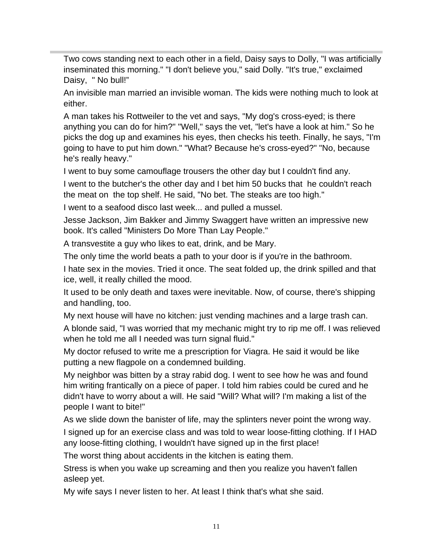Two cows standing next to each other in a field, Daisy says to Dolly, "I was artificially inseminated this morning." "I don't believe you," said Dolly. "It's true," exclaimed Daisy, " No bull!"

An invisible man married an invisible woman. The kids were nothing much to look at either.

A man takes his Rottweiler to the vet and says, "My dog's cross-eyed; is there anything you can do for him?" "Well," says the vet, "let's have a look at him." So he picks the dog up and examines his eyes, then checks his teeth. Finally, he says, "I'm going to have to put him down." "What? Because he's cross-eyed?" "No, because he's really heavy."

I went to buy some camouflage trousers the other day but I couldn't find any.

I went to the butcher's the other day and I bet him 50 bucks that he couldn't reach the meat on the top shelf. He said, "No bet. The steaks are too high."

I went to a seafood disco last week... and pulled a mussel.

Jesse Jackson, Jim Bakker and Jimmy Swaggert have written an impressive new book. It's called "Ministers Do More Than Lay People."

A transvestite a guy who likes to eat, drink, and be Mary.

The only time the world beats a path to your door is if you're in the bathroom.

I hate sex in the movies. Tried it once. The seat folded up, the drink spilled and that ice, well, it really chilled the mood.

It used to be only death and taxes were inevitable. Now, of course, there's shipping and handling, too.

My next house will have no kitchen: just vending machines and a large trash can.

A blonde said, "I was worried that my mechanic might try to rip me off. I was relieved when he told me all I needed was turn signal fluid."

My doctor refused to write me a prescription for Viagra. He said it would be like putting a new flagpole on a condemned building.

My neighbor was bitten by a stray rabid dog. I went to see how he was and found him writing frantically on a piece of paper. I told him rabies could be cured and he didn't have to worry about a will. He said "Will? What will? I'm making a list of the people I want to bite!"

As we slide down the banister of life, may the splinters never point the wrong way.

I signed up for an exercise class and was told to wear loose-fitting clothing. If I HAD any loose-fitting clothing, I wouldn't have signed up in the first place!

The worst thing about accidents in the kitchen is eating them.

Stress is when you wake up screaming and then you realize you haven't fallen asleep yet.

My wife says I never listen to her. At least I think that's what she said.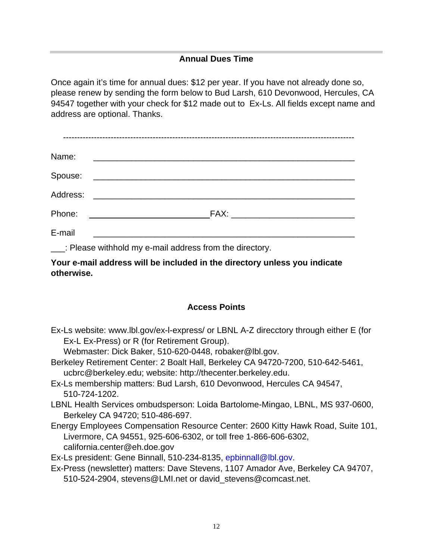#### **Annual Dues Time**

Once again it's time for annual dues: \$12 per year. If you have not already done so, please renew by sending the form below to Bud Larsh, 610 Devonwood, Hercules, CA 94547 together with your check for \$12 made out to Ex-Ls. All fields except name and address are optional. Thanks.

| Name:    | <u> 1989 - Andrea Brand, amerikansk politik (</u> |
|----------|---------------------------------------------------|
|          |                                                   |
| Address: |                                                   |
| Phone:   | <u> 1980 - Jan Barnett, fransk politiker (</u>    |
| E-mail   |                                                   |

\_\_\_: Please withhold my e-mail address from the directory.

**Your e-mail address will be included in the directory unless you indicate otherwise.**

#### **Access Points**

Ex-Ls website: www.lbl.gov/ex-l-express/ or LBNL A-Z direcctory through either E (for Ex-L Ex-Press) or R (for Retirement Group).

Webmaster: Dick Baker, 510-620-0448, robaker@lbl.gov.

- Berkeley Retirement Center: 2 Boalt Hall, Berkeley CA 94720-7200, 510-642-5461, ucbrc@berkeley.edu; website: http://thecenter.berkeley.edu.
- Ex-Ls membership matters: Bud Larsh, 610 Devonwood, Hercules CA 94547, 510-724-1202.
- LBNL Health Services ombudsperson: Loida Bartolome-Mingao, LBNL, MS 937-0600, Berkeley CA 94720; 510-486-697.
- Energy Employees Compensation Resource Center: 2600 Kitty Hawk Road, Suite 101, Livermore, CA 94551, 925-606-6302, or toll free 1-866-606-6302, california.center@eh.doe.gov

Ex-Ls president: Gene Binnall, 510-234-8135, epbinnall@lbl.gov.

Ex-Press (newsletter) matters: Dave Stevens, 1107 Amador Ave, Berkeley CA 94707, 510-524-2904, stevens@LMI.net or david\_stevens@comcast.net.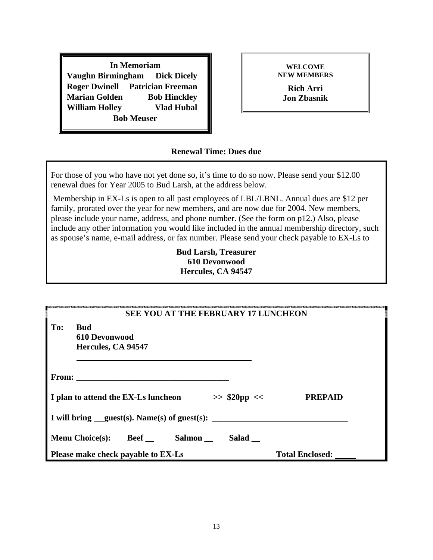**In Memoriam Vaughn Birmingham Dick Dicely Roger Dwinell Patrician Freeman Marian Golden Bob Hinckley William Holley Vlad Hubal Bob Meuser**

**WELCOME NEW MEMBERS**

> **Rich Arri Jon Zbasnik**

#### **Renewal Time: Dues due**

For those of you who have not yet done so, it's time to do so now. Please send your \$12.00 renewal dues for Year 2005 to Bud Larsh, at the address below.

 Membership in EX-Ls is open to all past employees of LBL/LBNL. Annual dues are \$12 per family, prorated over the year for new members, and are now due for 2004. New members, please include your name, address, and phone number. (See the form on p12.) Also, please include any other information you would like included in the annual membership directory, such as spouse's name, e-mail address, or fax number. Please send your check payable to EX-Ls to

#### **Bud Larsh, Treasurer 610 Devonwood Hercules, CA 94547**

| <b>SEE YOU AT THE FEBRUARY 17 LUNCHEON</b>                    |                        |  |  |
|---------------------------------------------------------------|------------------------|--|--|
| To:<br><b>Bud</b><br>610 Devonwood<br>Hercules, CA 94547      |                        |  |  |
|                                                               |                        |  |  |
| I plan to attend the EX-Ls luncheon<br>$>>$ \$20pp <<         | <b>PREPAID</b>         |  |  |
| I will bring __guest(s). Name(s) of guest(s): $\qquad \qquad$ |                        |  |  |
| <b>Beef</b> Salmon<br><b>Menu Choice(s):</b><br>Salad         |                        |  |  |
| Please make check payable to EX-Ls                            | <b>Total Enclosed:</b> |  |  |